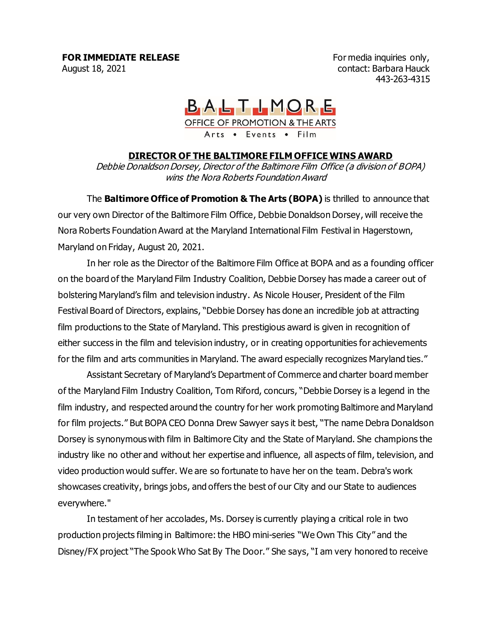For media inquiries only, contact: Barbara Hauck 443-263-4315

## BALTIMORE OFFICE OF PROMOTION & THE ARTS Arts • Events • Film

## **DIRECTOR OF THE BALTIMORE FILM OFFICE WINS AWARD**

Debbie Donaldson Dorsey, Director of the Baltimore Film Office (a division of BOPA) wins the Nora Roberts Foundation Award

The **Baltimore Office of Promotion & The Arts (BOPA)** is thrilled to announce that our very own Director of the Baltimore Film Office, Debbie Donaldson Dorsey, will receive the Nora Roberts Foundation Award at the Maryland International Film Festival in Hagerstown, Maryland on Friday, August 20, 2021.

In her role as the Director of the Baltimore Film Office at BOPA and as a founding officer on the board of the Maryland Film Industry Coalition, Debbie Dorsey has made a career out of bolstering Maryland's film and television industry. As Nicole Houser, President of the Film Festival Board of Directors, explains, "Debbie Dorsey has done an incredible job at attracting film productions to the State of Maryland. This prestigious award is given in recognition of either success in the film and television industry, or in creating opportunities for achievements for the film and arts communities in Maryland. The award especially recognizes Maryland ties."

Assistant Secretary of Maryland's Department of Commerce and charter board member of the Maryland Film Industry Coalition, Tom Riford, concurs, "Debbie Dorsey is a legend in the film industry, and respected around the country for her work promoting Baltimore and Maryland for film projects." But BOPA CEO Donna Drew Sawyer says it best, "The name Debra Donaldson Dorsey is synonymous with film in Baltimore City and the State of Maryland. She champions the industry like no other and without her expertise and influence, all aspects of film, television, and video production would suffer. We are so fortunate to have her on the team. Debra's work showcases creativity, brings jobs, and offers the best of our City and our State to audiences everywhere."

In testament of her accolades, Ms. Dorsey is currently playing a critical role in two production projects filming in Baltimore: the HBO mini-series "We Own This City" and the Disney/FX project "The Spook Who Sat By The Door." She says, "I am very honored to receive